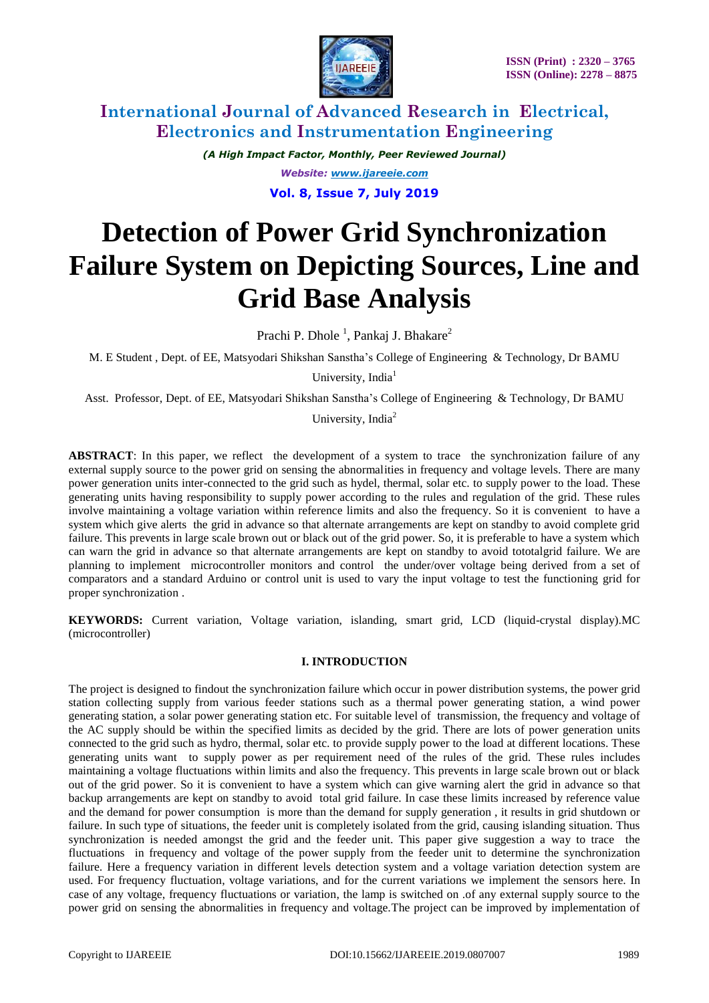

*(A High Impact Factor, Monthly, Peer Reviewed Journal) Website: [www.ijareeie.com](http://www.ijareeie.com/)*

**Vol. 8, Issue 7, July 2019**

# **Detection of Power Grid Synchronization Failure System on Depicting Sources, Line and Grid Base Analysis**

Prachi P. Dhole<sup>1</sup>, Pankaj J. Bhakare<sup>2</sup>

M. E Student , Dept. of EE, Matsyodari Shikshan Sanstha's College of Engineering & Technology, Dr BAMU

University, India $<sup>1</sup>$ </sup>

Asst. Professor, Dept. of EE, Matsyodari Shikshan Sanstha's College of Engineering & Technology, Dr BAMU

University, India<sup>2</sup>

**ABSTRACT**: In this paper, we reflect the development of a system to trace the synchronization failure of any external supply source to the power grid on sensing the abnormalities in frequency and voltage levels. There are many power generation units inter-connected to the grid such as hydel, thermal, solar etc. to supply power to the load. These generating units having responsibility to supply power according to the rules and regulation of the grid. These rules involve maintaining a voltage variation within reference limits and also the frequency. So it is convenient to have a system which give alerts the grid in advance so that alternate arrangements are kept on standby to avoid complete grid failure. This prevents in large scale brown out or black out of the grid power. So, it is preferable to have a system which can warn the grid in advance so that alternate arrangements are kept on standby to avoid tototalgrid failure. We are planning to implement microcontroller monitors and control the under/over voltage being derived from a set of comparators and a standard Arduino or control unit is used to vary the input voltage to test the functioning grid for proper synchronization .

**KEYWORDS:** Current variation, Voltage variation, islanding, smart grid, LCD (liquid-crystal display).MC (microcontroller)

### **I. INTRODUCTION**

The project is designed to findout the synchronization failure which occur in power distribution systems, the power grid station collecting supply from various feeder stations such as a thermal power generating station, a wind power generating station, a solar power generating station etc. For suitable level of transmission, the frequency and voltage of the AC supply should be within the specified limits as decided by the grid. There are lots of power generation units connected to the grid such as hydro, thermal, solar etc. to provide supply power to the load at different locations. These generating units want to supply power as per requirement need of the rules of the grid. These rules includes maintaining a voltage fluctuations within limits and also the frequency. This prevents in large scale brown out or black out of the grid power. So it is convenient to have a system which can give warning alert the grid in advance so that backup arrangements are kept on standby to avoid total grid failure. In case these limits increased by reference value and the demand for power consumption is more than the demand for supply generation , it results in grid shutdown or failure. In such type of situations, the feeder unit is completely isolated from the grid, causing islanding situation. Thus synchronization is needed amongst the grid and the feeder unit. This paper give suggestion a way to trace the fluctuations in frequency and voltage of the power supply from the feeder unit to determine the synchronization failure. Here a frequency variation in different levels detection system and a voltage variation detection system are used. For frequency fluctuation, voltage variations, and for the current variations we implement the sensors here. In case of any voltage, frequency fluctuations or variation, the lamp is switched on .of any external supply source to the power grid on sensing the abnormalities in frequency and voltage.The project can be improved by implementation of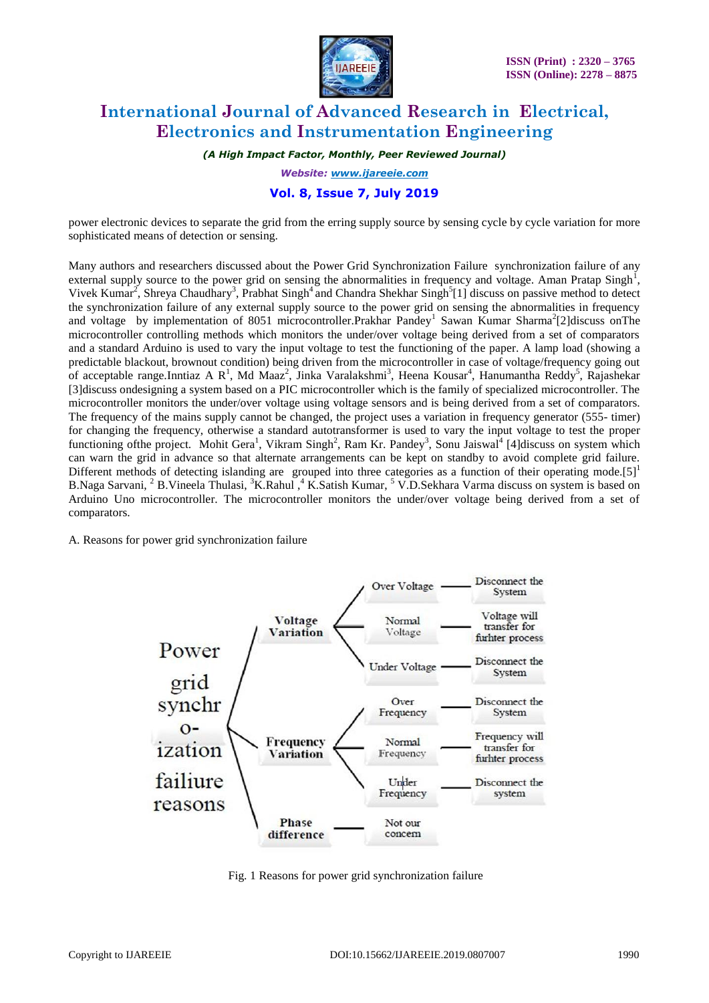

*(A High Impact Factor, Monthly, Peer Reviewed Journal)*

*Website: [www.ijareeie.com](http://www.ijareeie.com/)*

### **Vol. 8, Issue 7, July 2019**

power electronic devices to separate the grid from the erring supply source by sensing cycle by cycle variation for more sophisticated means of detection or sensing.

Many authors and researchers discussed about the Power Grid Synchronization Failure synchronization failure of any external supply source to the power grid on sensing the abnormalities in frequency and voltage. Aman Pratap Singh<sup>1</sup>, Vivek Kumar<sup>2</sup>, Shreya Chaudhary<sup>3</sup>, Prabhat Singh<sup>4</sup> and Chandra Shekhar Singh<sup>5</sup>[1] discuss on passive method to detect the synchronization failure of any external supply source to the power grid on sensing the abnormalities in frequency and voltage by implementation of 8051 microcontroller.Prakhar Pandey<sup>1</sup> Sawan Kumar Sharma<sup>2</sup>[2]discuss onThe microcontroller controlling methods which monitors the under/over voltage being derived from a set of comparators and a standard Arduino is used to vary the input voltage to test the functioning of the paper. A lamp load (showing a predictable blackout, brownout condition) being driven from the microcontroller in case of voltage/frequency going out of acceptable range.Inntiaz A R<sup>1</sup>, Md Maaz<sup>2</sup>, Jinka Varalakshmi<sup>3</sup>, Heena Kousar<sup>4</sup>, Hanumantha Reddy<sup>5</sup>, Rajashekar [3]discuss ondesigning a system based on a PIC microcontroller which is the family of specialized microcontroller. The microcontroller monitors the under/over voltage using voltage sensors and is being derived from a set of comparators. The frequency of the mains supply cannot be changed, the project uses a variation in frequency generator (555- timer) for changing the frequency, otherwise a standard autotransformer is used to vary the input voltage to test the proper functioning of the project. Mohit Gera<sup>1</sup>, Vikram Singh<sup>2</sup>, Ram Kr. Pandey<sup>3</sup>, Sonu Jaiswal<sup>4</sup> [4] discuss on system which can warn the grid in advance so that alternate arrangements can be kept on standby to avoid complete grid failure. Different methods of detecting islanding are grouped into three categories as a function of their operating mode.[5]<sup>1</sup> B.Naga Sarvani, <sup>2</sup> B.Vineela Thulasi, <sup>3</sup>K.Rahul ,<sup>4</sup> K.Satish Kumar, <sup>5</sup> V.D.Sekhara Varma discuss on system is based on Arduino Uno microcontroller. The microcontroller monitors the under/over voltage being derived from a set of comparators.

A. Reasons for power grid synchronization failure



Fig. 1 Reasons for power grid synchronization failure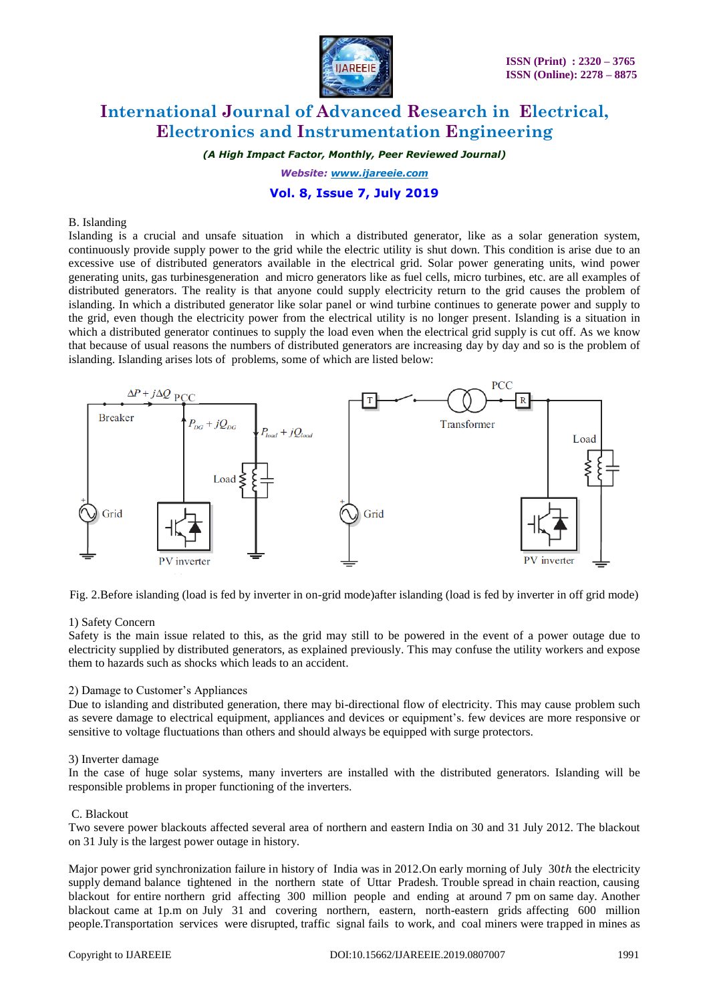

*(A High Impact Factor, Monthly, Peer Reviewed Journal)*

*Website: [www.ijareeie.com](http://www.ijareeie.com/)*

### **Vol. 8, Issue 7, July 2019**

#### B. Islanding

Islanding is a crucial and unsafe situation in which a distributed generator, like as a solar generation system, continuously provide supply power to the grid while the electric utility is shut down. This condition is arise due to an excessive use of distributed generators available in the electrical grid. Solar power generating units, wind power generating units, gas turbinesgeneration and micro generators like as fuel cells, micro turbines, etc. are all examples of distributed generators. The reality is that anyone could supply electricity return to the grid causes the problem of islanding. In which a distributed generator like solar panel or wind turbine continues to generate power and supply to the grid, even though the electricity power from the electrical utility is no longer present. Islanding is a situation in which a distributed generator continues to supply the load even when the electrical grid supply is cut off. As we know that because of usual reasons the numbers of distributed generators are increasing day by day and so is the problem of islanding. Islanding arises lots of problems, some of which are listed below:



Fig. 2.Before islanding (load is fed by inverter in on-grid mode)after islanding (load is fed by inverter in off grid mode)

#### 1) Safety Concern

Safety is the main issue related to this, as the grid may still to be powered in the event of a power outage due to electricity supplied by distributed generators, as explained previously. This may confuse the utility workers and expose them to hazards such as shocks which leads to an accident.

### 2) Damage to Customer's Appliances

Due to islanding and distributed generation, there may bi-directional flow of electricity. This may cause problem such as severe damage to electrical equipment, appliances and devices or equipment's. few devices are more responsive or sensitive to voltage fluctuations than others and should always be equipped with surge protectors.

#### 3) Inverter damage

In the case of huge solar systems, many inverters are installed with the distributed generators. Islanding will be responsible problems in proper functioning of the inverters.

### C. Blackout

Two severe power blackouts affected several area of northern and eastern India on 30 and 31 July 2012. The blackout on 31 July is the largest power outage in history.

Major power grid synchronization failure in history of India was in 2012.On early morning of July 30th the electricity supply demand balance tightened in the northern state of Uttar Pradesh. Trouble spread in chain reaction, causing blackout for entire northern grid affecting 300 million people and ending at around 7 pm on same day. Another blackout came at 1p.m on July 31 and covering northern, eastern, north-eastern grids affecting 600 million people.Transportation services were disrupted, traffic signal fails to work, and coal miners were trapped in mines as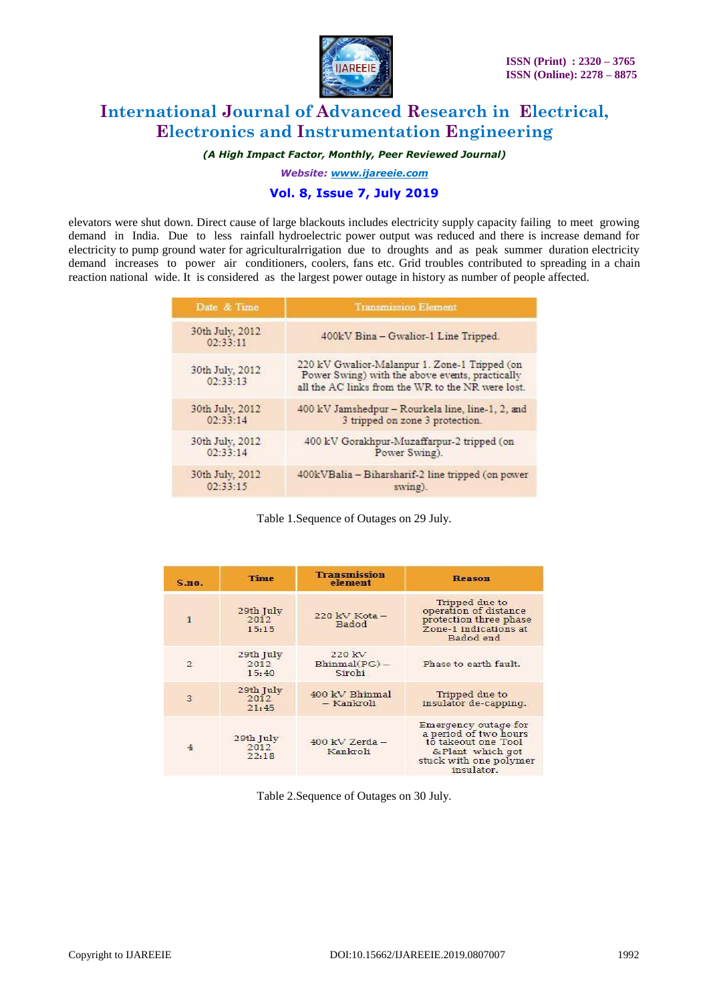

*(A High Impact Factor, Monthly, Peer Reviewed Journal)*

*Website: [www.ijareeie.com](http://www.ijareeie.com/)*

### **Vol. 8, Issue 7, July 2019**

elevators were shut down. Direct cause of large blackouts includes electricity supply capacity failing to meet growing demand in India. Due to less rainfall hydroelectric power output was reduced and there is increase demand for electricity to pump ground water for agriculturalrrigation due to droughts and as peak summer duration electricity demand increases to power air conditioners, coolers, fans etc. Grid troubles contributed to spreading in a chain reaction national wide. It is considered as the largest power outage in history as number of people affected.

| Date & Time                 | <b>Transmission Element</b>                                                                                                                           |  |
|-----------------------------|-------------------------------------------------------------------------------------------------------------------------------------------------------|--|
| 30th July, 2012<br>02:33:11 | 400kV Bina - Gwalior-1 Line Tripped.                                                                                                                  |  |
| 30th July, 2012<br>02:33:13 | 220 kV Gwalior-Malanpur 1. Zone-1 Tripped (on<br>Power Swing) with the above events, practically<br>all the AC links from the WR to the NR were lost. |  |
| 30th July, 2012             | 400 kV Jamshedpur - Rourkela line, line-1, 2, and                                                                                                     |  |
| 02:33:14                    | 3 tripped on zone 3 protection.                                                                                                                       |  |
| 30th July, 2012             | 400 kV Gorakhpur-Muzaffarpur-2 tripped (on                                                                                                            |  |
| 02:33:14                    | Power Swing).                                                                                                                                         |  |
| 30th July, 2012             | 400kVBalia - Biharsharif-2 line tripped (on power                                                                                                     |  |
| 02:33:15                    | swing).                                                                                                                                               |  |

Table 1.Sequence of Outages on 29 July.

| S.m.           | <b>Time</b>                | <b>Transmission</b><br>element      | <b>Reason</b>                                                                                                                     |
|----------------|----------------------------|-------------------------------------|-----------------------------------------------------------------------------------------------------------------------------------|
| $\mathbf{1}$   | 29th July<br>2012<br>15:15 | $220$ kV Kota $-$<br><b>Badod</b>   | Tripped due to<br>operation of distance<br>protection three phase<br>Zone-1 indications at<br>Badod end                           |
| $\mathfrak{D}$ | 29th July<br>2012<br>15:40 | 220 kV<br>$Bhimmal(PG)$ -<br>Sirohi | Phase to earth fault.                                                                                                             |
| 3              | 29th July<br>2012<br>21:45 | 400 kV Bhinmal<br>- Kankroli        | Tripped due to<br>insulator de-capping.                                                                                           |
| 4              | 29th July<br>2012<br>22:18 | $400$ kV Zerda $-$<br>Kankroli      | Emergency outage for<br>a period of two hours<br>to takeout one Tool<br>& Plant which got<br>stuck with one polymer<br>insulator. |

Table 2.Sequence of Outages on 30 July.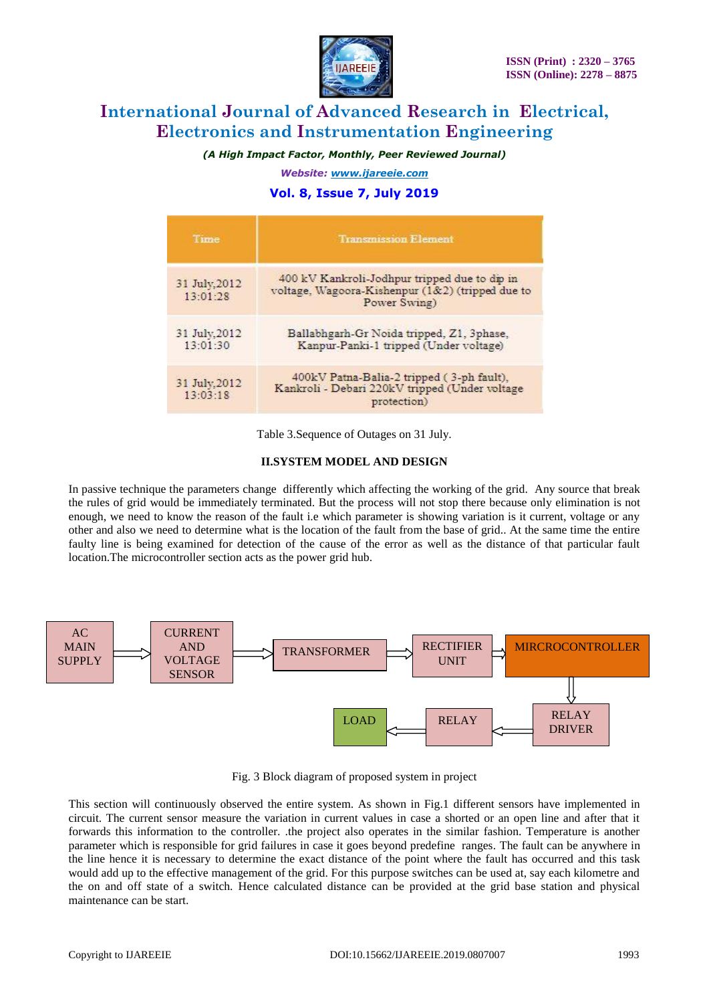

*(A High Impact Factor, Monthly, Peer Reviewed Journal)*

*Website: [www.ijareeie.com](http://www.ijareeie.com/)*

### **Vol. 8, Issue 7, July 2019**

| Time                      | <b>Transmission Element</b>                                                                                       |  |
|---------------------------|-------------------------------------------------------------------------------------------------------------------|--|
| 31 July, 2012<br>13:01:28 | 400 kV Kankroli-Jodhpur tripped due to dip in<br>voltage, Wagoora-Kishenpur (1&2) (tripped due to<br>Power Swing) |  |
| 31 July, 2012<br>13:01:30 | Ballabhgarh-Gr Noida tripped, Z1, 3phase,<br>Kanpur-Panki-1 tripped (Under voltage)                               |  |
| 31 July, 2012<br>13:03:18 | 400kV Patna-Balia-2 tripped (3-ph fault),<br>Kankroli - Debari 220kV tripped (Under voltage<br>protection)        |  |

Table 3.Sequence of Outages on 31 July.

### **II.SYSTEM MODEL AND DESIGN**

In passive technique the parameters change differently which affecting the working of the grid. Any source that break the rules of grid would be immediately terminated. But the process will not stop there because only elimination is not enough, we need to know the reason of the fault i.e which parameter is showing variation is it current, voltage or any other and also we need to determine what is the location of the fault from the base of grid.. At the same time the entire faulty line is being examined for detection of the cause of the error as well as the distance of that particular fault location.The microcontroller section acts as the power grid hub.



Fig. 3 Block diagram of proposed system in project

This section will continuously observed the entire system. As shown in Fig.1 different sensors have implemented in circuit. The current sensor measure the variation in current values in case a shorted or an open line and after that it forwards this information to the controller. .the project also operates in the similar fashion. Temperature is another parameter which is responsible for grid failures in case it goes beyond predefine ranges. The fault can be anywhere in the line hence it is necessary to determine the exact distance of the point where the fault has occurred and this task would add up to the effective management of the grid. For this purpose switches can be used at, say each kilometre and the on and off state of a switch. Hence calculated distance can be provided at the grid base station and physical maintenance can be start.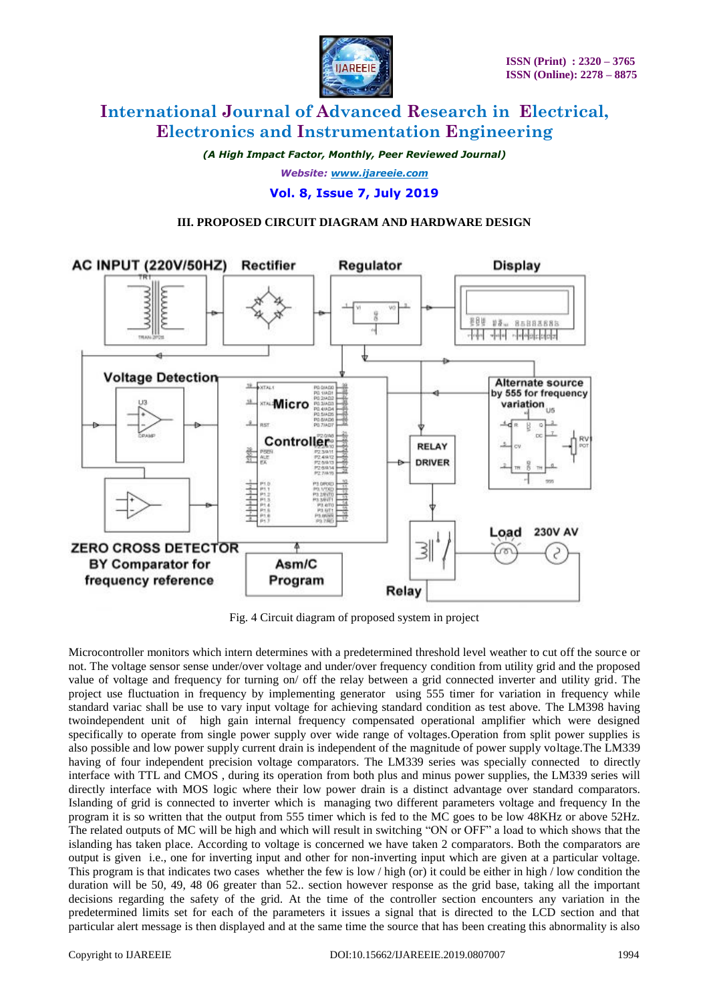

*(A High Impact Factor, Monthly, Peer Reviewed Journal) Website: [www.ijareeie.com](http://www.ijareeie.com/)*

**Vol. 8, Issue 7, July 2019**

### **III. PROPOSED CIRCUIT DIAGRAM AND HARDWARE DESIGN**



Fig. 4 Circuit diagram of proposed system in project

Microcontroller monitors which intern determines with a predetermined threshold level weather to cut off the source or not. The voltage sensor sense under/over voltage and under/over frequency condition from utility grid and the proposed value of voltage and frequency for turning on/ off the relay between a grid connected inverter and utility grid. The project use fluctuation in frequency by implementing generator using 555 timer for variation in frequency while standard variac shall be use to vary input voltage for achieving standard condition as test above. The LM398 having twoindependent unit of high gain internal frequency compensated operational amplifier which were designed specifically to operate from single power supply over wide range of voltages.Operation from split power supplies is also possible and low power supply current drain is independent of the magnitude of power supply voltage.The LM339 having of four independent precision voltage comparators. The LM339 series was specially connected to directly interface with TTL and CMOS , during its operation from both plus and minus power supplies, the LM339 series will directly interface with MOS logic where their low power drain is a distinct advantage over standard comparators. Islanding of grid is connected to inverter which is managing two different parameters voltage and frequency In the program it is so written that the output from 555 timer which is fed to the MC goes to be low 48KHz or above 52Hz. The related outputs of MC will be high and which will result in switching "ON or OFF" a load to which shows that the islanding has taken place. According to voltage is concerned we have taken 2 comparators. Both the comparators are output is given i.e., one for inverting input and other for non-inverting input which are given at a particular voltage. This program is that indicates two cases whether the few is low / high (or) it could be either in high / low condition the duration will be 50, 49, 48 06 greater than 52.. section however response as the grid base, taking all the important decisions regarding the safety of the grid. At the time of the controller section encounters any variation in the predetermined limits set for each of the parameters it issues a signal that is directed to the LCD section and that particular alert message is then displayed and at the same time the source that has been creating this abnormality is also